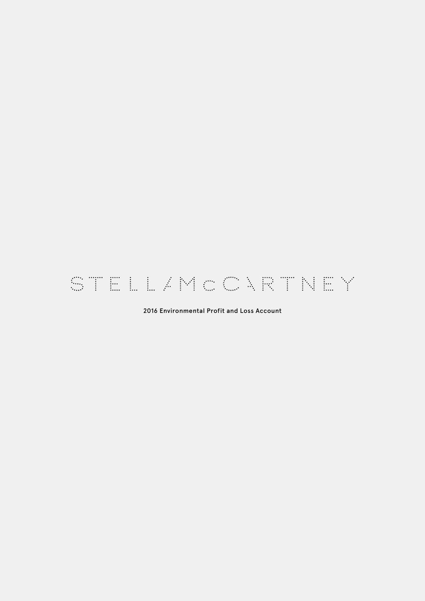# STELL/MCCARTNEY

## 2016 Environmental Profit and Loss Account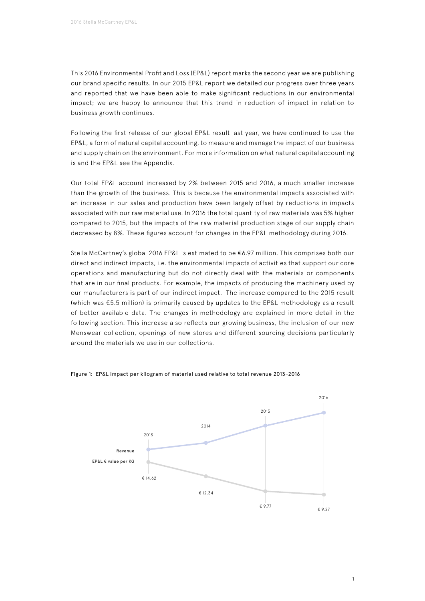This 2016 Environmental Profit and Loss (EP&L) report marks the second year we are publishing our brand specific results. In our 2015 EP&L report we detailed our progress over three years and reported that we have been able to make significant reductions in our environmental impact; we are happy to announce that this trend in reduction of impact in relation to business growth continues.

Following the first release of our global EP&L result last year, we have continued to use the EP&L, a form of natural capital accounting, to measure and manage the impact of our business and supply chain on the environment. For more information on what natural capital accounting is and the EP&L see the Appendix.

Our total EP&L account increased by 2% between 2015 and 2016, a much smaller increase than the growth of the business. This is because the environmental impacts associated with an increase in our sales and production have been largely offset by reductions in impacts associated with our raw material use. In 2016 the total quantity of raw materials was 5% higher compared to 2015, but the impacts of the raw material production stage of our supply chain decreased by 8%. These figures account for changes in the EP&L methodology during 2016.

Stella McCartney's global 2016 EP&L is estimated to be €6.97 million. This comprises both our direct and indirect impacts, i.e. the environmental impacts of activities that support our core operations and manufacturing but do not directly deal with the materials or components that are in our final products. For example, the impacts of producing the machinery used by our manufacturers is part of our indirect impact. The increase compared to the 2015 result (which was €5.5 million) is primarily caused by updates to the EP&L methodology as a result of better available data. The changes in methodology are explained in more detail in the following section. This increase also reflects our growing business, the inclusion of our new Menswear collection, openings of new stores and different sourcing decisions particularly around the materials we use in our collections.



Figure 1: EP&L impact per kilogram of material used relative to total revenue 2013–2016

1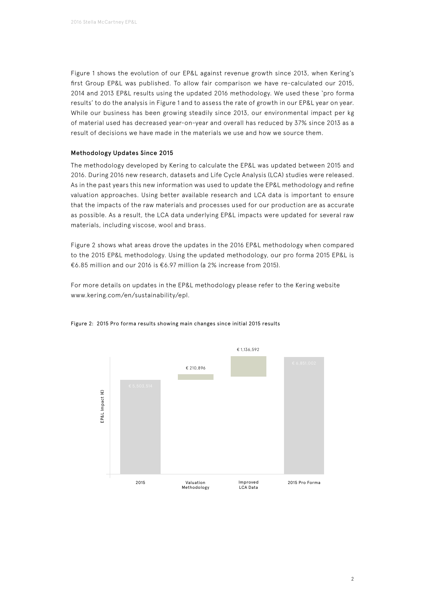Figure 1 shows the evolution of our EP&L against revenue growth since 2013, when Kering's first Group EP&L was published. To allow fair comparison we have re-calculated our 2015, 2014 and 2013 EP&L results using the updated 2016 methodology. We used these 'pro forma results' to do the analysis in Figure 1 and to assess the rate of growth in our EP&L year on year. While our business has been growing steadily since 2013, our environmental impact per kg of material used has decreased year-on-year and overall has reduced by 37% since 2013 as a result of decisions we have made in the materials we use and how we source them.

## Methodology Updates Since 2015

The methodology developed by Kering to calculate the EP&L was updated between 2015 and 2016. During 2016 new research, datasets and Life Cycle Analysis (LCA) studies were released. As in the past years this new information was used to update the EP&L methodology and refine valuation approaches. Using better available research and LCA data is important to ensure that the impacts of the raw materials and processes used for our production are as accurate as possible. As a result, the LCA data underlying EP&L impacts were updated for several raw materials, including viscose, wool and brass.

Figure 2 shows what areas drove the updates in the 2016 EP&L methodology when compared to the 2015 EP&L methodology. Using the updated methodology, our pro forma 2015 EP&L is €6.85 million and our 2016 is €6.97 million (a 2% increase from 2015).

For more details on updates in the EP&L methodology please refer to the Kering website [www.kering.com/en/sustainability/epl.](http://www.kering.com/en/sustainability/epl.)



#### Figure 2: 2015 Pro forma results showing main changes since initial 2015 results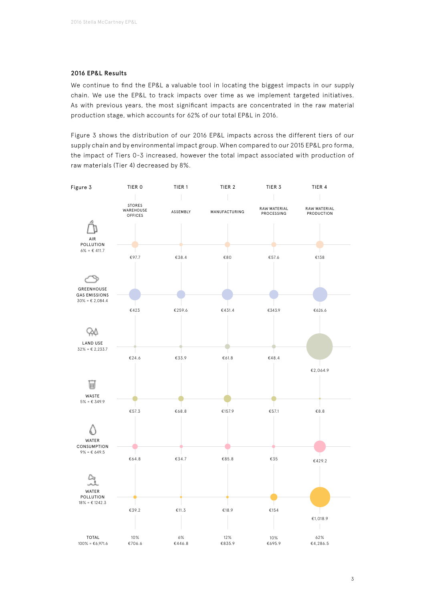#### 2016 EP&L Results

We continue to find the EP&L a valuable tool in locating the biggest impacts in our supply chain. We use the EP&L to track impacts over time as we implement targeted initiatives. As with previous years, the most significant impacts are concentrated in the raw material production stage, which accounts for 62% of our total EP&L in 2016.

Figure 3 shows the distribution of our 2016 EP&L impacts across the different tiers of our supply chain and by environmental impact group. When compared to our 2015 EP&L pro forma, the impact of Tiers 0-3 increased, however the total impact associated with production of raw materials (Tier 4) decreased by 8%.

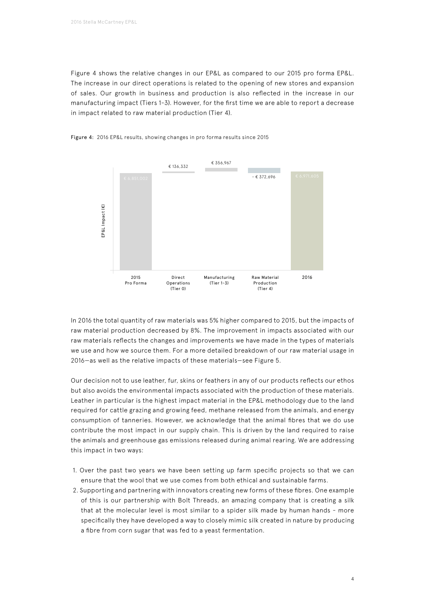Figure 4 shows the relative changes in our EP&L as compared to our 2015 pro forma EP&L. The increase in our direct operations is related to the opening of new stores and expansion of sales. Our growth in business and production is also reflected in the increase in our manufacturing impact (Tiers 1-3). However, for the first time we are able to report a decrease in impact related to raw material production (Tier 4).



Figure 4: 2016 EP&L results, showing changes in pro forma results since 2015

In 2016 the total quantity of raw materials was 5% higher compared to 2015, but the impacts of raw material production decreased by 8%. The improvement in impacts associated with our raw materials reflects the changes and improvements we have made in the types of materials we use and how we source them. For a more detailed breakdown of our raw material usage in 2016—as well as the relative impacts of these materials—see Figure 5.

Our decision not to use leather, fur, skins or feathers in any of our products reflects our ethos but also avoids the environmental impacts associated with the production of these materials. Leather in particular is the highest impact material in the EP&L methodology due to the land required for cattle grazing and growing feed, methane released from the animals, and energy consumption of tanneries. However, we acknowledge that the animal fibres that we do use contribute the most impact in our supply chain. This is driven by the land required to raise the animals and greenhouse gas emissions released during animal rearing. We are addressing this impact in two ways:

- 1. Over the past two years we have been setting up farm specific projects so that we can ensure that the wool that we use comes from both ethical and sustainable farms.
- 2. Supporting and partnering with innovators creating new forms of these fibres. One example of this is our partnership with Bolt Threads, an amazing company that is creating a silk that at the molecular level is most similar to a spider silk made by human hands - more specifically they have developed a way to closely mimic silk created in nature by producing a fibre from corn sugar that was fed to a yeast fermentation.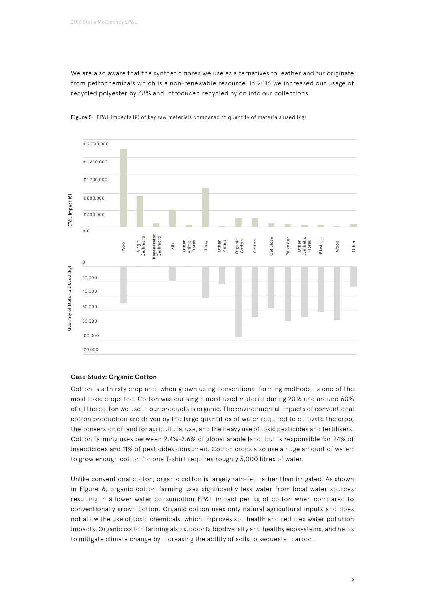We are also aware that the synthetic fibres we use as alternatives to leather and fur originate from petrochemicals which is a non-renewable resource. In 2016 we increased our usage of recycled polyester by 38% and introduced recycled nylon into our collections.



Figure 5: EP&L impacts (€) of key raw materials compared to quantity of materials used (kg)

## Case Study: Organic Cotton

Cotton is a thirsty crop and, when grown using conventional farming methods, is one of the most toxic crops too. Cotton was our single most used material during 2016 and around 60% of all the cotton we use in our products is organic. The environmental impacts of conventional cotton production are driven by the large quantities of water required to cultivate the crop, the conversion of land for agricultural use, and the heavy use of toxic pesticides and fertilisers. Cotton farming uses between 2.4%-2.6% of global arable land, but is responsible for 24% of insecticides and 11% of pesticides consumed. Cotton crops also use a huge amount of water: to grow enough cotton for one T-shirt requires roughly 3,000 litres of water.

Unlike conventional cotton, organic cotton is largely rain-fed rather than irrigated. As shown in Figure 6, organic cotton farming uses significantly less water from local water sources resulting in a lower water consumption EP&L impact per kg of cotton when compared to conventionally grown cotton. Organic cotton uses only natural agricultural inputs and does not allow the use of toxic chemicals, which improves soil health and reduces water pollution impacts. Organic cotton farming also supports biodiversity and healthy ecosystems, and helps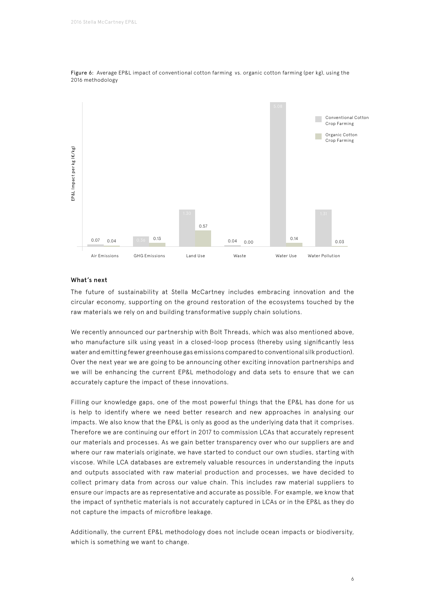



#### What's next

The future of sustainability at Stella McCartney includes embracing innovation and the circular economy, supporting on the ground restoration of the ecosystems touched by the raw materials we rely on and building transformative supply chain solutions.

We recently announced our partnership with Bolt Threads, which was also mentioned above, who manufacture silk using yeast in a closed-loop process (thereby using significantly less water and emitting fewer greenhouse gas emissions compared to conventional silk production). Over the next year we are going to be announcing other exciting innovation partnerships and we will be enhancing the current EP&L methodology and data sets to ensure that we can accurately capture the impact of these innovations.

Filling our knowledge gaps, one of the most powerful things that the EP&L has done for us is help to identify where we need better research and new approaches in analysing our impacts. We also know that the EP&L is only as good as the underlying data that it comprises. Therefore we are continuing our effort in 2017 to commission LCAs that accurately represent our materials and processes. As we gain better transparency over who our suppliers are and where our raw materials originate, we have started to conduct our own studies, starting with viscose. While LCA databases are extremely valuable resources in understanding the inputs and outputs associated with raw material production and processes, we have decided to collect primary data from across our value chain. This includes raw material suppliers to ensure our impacts are as representative and accurate as possible. For example, we know that the impact of synthetic materials is not accurately captured in LCAs or in the EP&L as they do not capture the impacts of microfibre leakage.

Additionally, the current EP&L methodology does not include ocean impacts or biodiversity, which is something we want to change.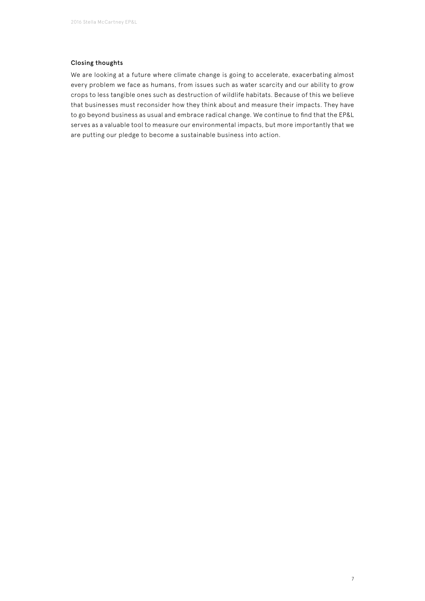## Closing thoughts

We are looking at a future where climate change is going to accelerate, exacerbating almost every problem we face as humans, from issues such as water scarcity and our ability to grow crops to less tangible ones such as destruction of wildlife habitats. Because of this we believe that businesses must reconsider how they think about and measure their impacts. They have to go beyond business as usual and embrace radical change. We continue to find that the EP&L serves as a valuable tool to measure our environmental impacts, but more importantly that we are putting our pledge to become a sustainable business into action.